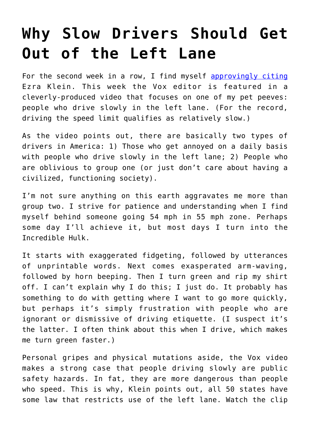## **[Why Slow Drivers Should Get](https://intellectualtakeout.org/2016/08/why-slow-drivers-should-get-out-of-the-left-lane/) [Out of the Left Lane](https://intellectualtakeout.org/2016/08/why-slow-drivers-should-get-out-of-the-left-lane/)**

For the second week in a row, I find myself [approvingly citing](https://www.intellectualtakeout.org/blog/amercian-journalism-collapsing-our-eyes) Ezra Klein. This week the Vox editor is featured in a cleverly-produced video that focuses on one of my pet peeves: people who drive slowly in the left lane. (For the record, driving the speed limit qualifies as relatively slow.)

As the video points out, there are basically two types of drivers in America: 1) Those who get annoyed on a daily basis with people who drive slowly in the left lane; 2) People who are oblivious to group one (or just don't care about having a civilized, functioning society).

I'm not sure anything on this earth aggravates me more than group two. I strive for patience and understanding when I find myself behind someone going 54 mph in 55 mph zone. Perhaps some day I'll achieve it, but most days I turn into the Incredible Hulk.

It starts with exaggerated fidgeting, followed by utterances of unprintable words. Next comes exasperated arm-waving, followed by horn beeping. Then I turn green and rip my shirt off. I can't explain why I do this; I just do. It probably has something to do with getting where I want to go more quickly, but perhaps it's simply frustration with people who are ignorant or dismissive of driving etiquette. (I suspect it's the latter. I often think about this when I drive, which makes me turn green faster.)

Personal gripes and physical mutations aside, the Vox video makes a strong case that people driving slowly are public safety hazards. In fat, they are more dangerous than people who speed. This is why, Klein points out, all 50 states have some law that restricts use of the left lane. Watch the clip